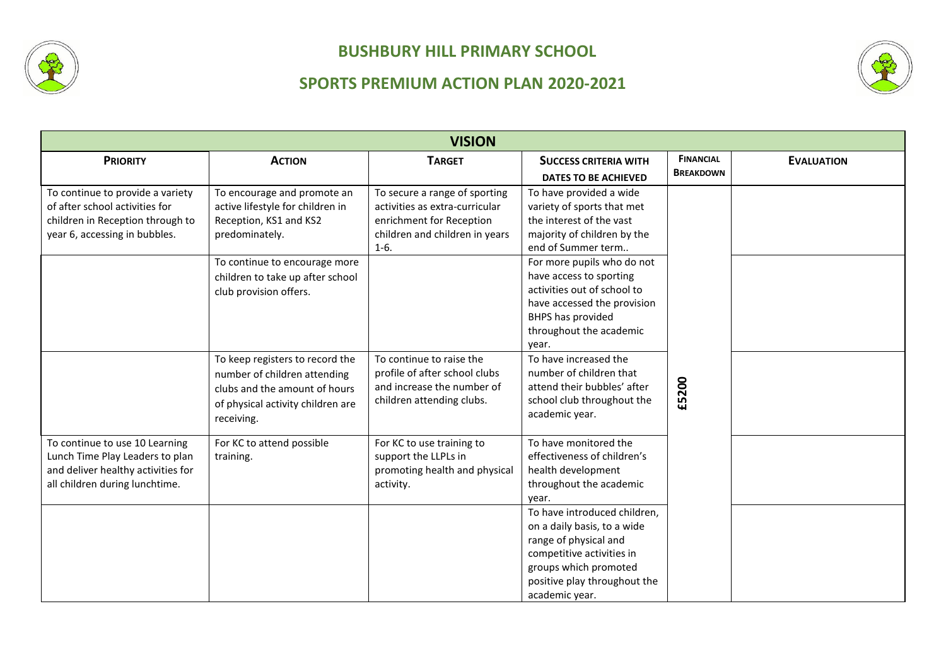



| <b>VISION</b>                                                                                                                             |                                                                                                                                                     |                                                                                                                                         |                                                                                                                                                                                              |                  |                   |
|-------------------------------------------------------------------------------------------------------------------------------------------|-----------------------------------------------------------------------------------------------------------------------------------------------------|-----------------------------------------------------------------------------------------------------------------------------------------|----------------------------------------------------------------------------------------------------------------------------------------------------------------------------------------------|------------------|-------------------|
| <b>PRIORITY</b>                                                                                                                           | <b>ACTION</b>                                                                                                                                       | <b>TARGET</b>                                                                                                                           | <b>SUCCESS CRITERIA WITH</b>                                                                                                                                                                 | <b>FINANCIAL</b> | <b>EVALUATION</b> |
|                                                                                                                                           |                                                                                                                                                     |                                                                                                                                         | <b>DATES TO BE ACHIEVED</b>                                                                                                                                                                  | <b>BREAKDOWN</b> |                   |
| To continue to provide a variety<br>of after school activities for<br>children in Reception through to<br>year 6, accessing in bubbles.   | To encourage and promote an<br>active lifestyle for children in<br>Reception, KS1 and KS2<br>predominately.                                         | To secure a range of sporting<br>activities as extra-curricular<br>enrichment for Reception<br>children and children in years<br>$1-6.$ | To have provided a wide<br>variety of sports that met<br>the interest of the vast<br>majority of children by the<br>end of Summer term                                                       |                  |                   |
|                                                                                                                                           | To continue to encourage more<br>children to take up after school<br>club provision offers.                                                         |                                                                                                                                         | For more pupils who do not<br>have access to sporting<br>activities out of school to<br>have accessed the provision<br><b>BHPS has provided</b><br>throughout the academic<br>vear.          |                  |                   |
|                                                                                                                                           | To keep registers to record the<br>number of children attending<br>clubs and the amount of hours<br>of physical activity children are<br>receiving. | To continue to raise the<br>profile of after school clubs<br>and increase the number of<br>children attending clubs.                    | To have increased the<br>number of children that<br>attend their bubbles' after<br>school club throughout the<br>academic year.                                                              | £5200            |                   |
| To continue to use 10 Learning<br>Lunch Time Play Leaders to plan<br>and deliver healthy activities for<br>all children during lunchtime. | For KC to attend possible<br>training.                                                                                                              | For KC to use training to<br>support the LLPLs in<br>promoting health and physical<br>activity.                                         | To have monitored the<br>effectiveness of children's<br>health development<br>throughout the academic<br>vear.                                                                               |                  |                   |
|                                                                                                                                           |                                                                                                                                                     |                                                                                                                                         | To have introduced children,<br>on a daily basis, to a wide<br>range of physical and<br>competitive activities in<br>groups which promoted<br>positive play throughout the<br>academic year. |                  |                   |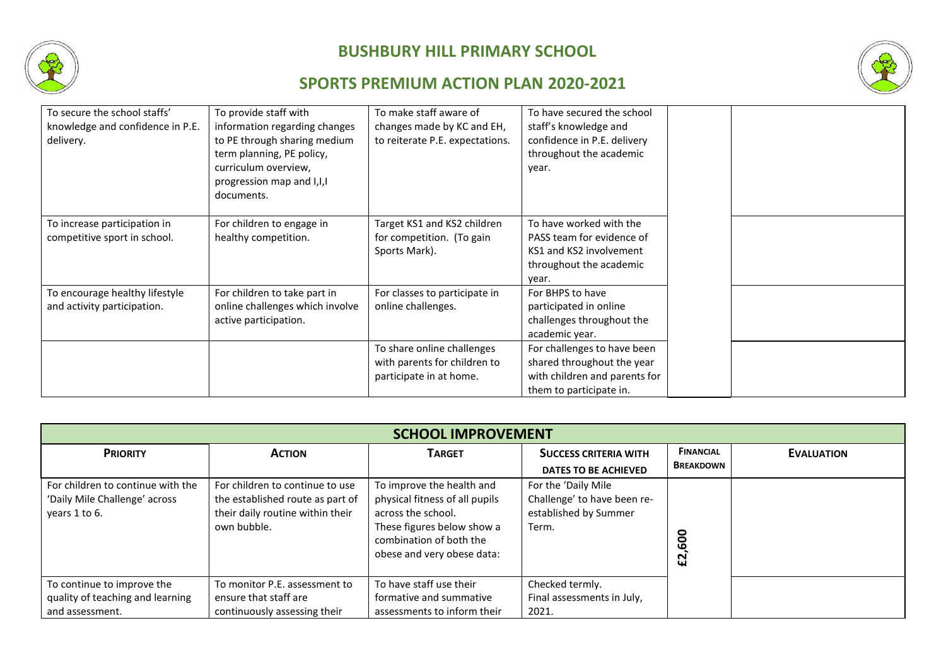



| To secure the school staffs'<br>knowledge and confidence in P.E.<br>delivery. | To provide staff with<br>information regarding changes<br>to PE through sharing medium<br>term planning, PE policy,<br>curriculum overview,<br>progression map and I, I, I<br>documents. | To make staff aware of<br>changes made by KC and EH,<br>to reiterate P.E. expectations. | To have secured the school<br>staff's knowledge and<br>confidence in P.E. delivery<br>throughout the academic<br>year. |  |
|-------------------------------------------------------------------------------|------------------------------------------------------------------------------------------------------------------------------------------------------------------------------------------|-----------------------------------------------------------------------------------------|------------------------------------------------------------------------------------------------------------------------|--|
| To increase participation in<br>competitive sport in school.                  | For children to engage in<br>healthy competition.                                                                                                                                        | Target KS1 and KS2 children<br>for competition. (To gain<br>Sports Mark).               | To have worked with the<br>PASS team for evidence of<br>KS1 and KS2 involvement<br>throughout the academic<br>year.    |  |
| To encourage healthy lifestyle<br>and activity participation.                 | For children to take part in<br>online challenges which involve<br>active participation.                                                                                                 | For classes to participate in<br>online challenges.                                     | For BHPS to have<br>participated in online<br>challenges throughout the<br>academic year.                              |  |
|                                                                               |                                                                                                                                                                                          | To share online challenges<br>with parents for children to<br>participate in at home.   | For challenges to have been<br>shared throughout the year<br>with children and parents for<br>them to participate in.  |  |

| <b>SCHOOL IMPROVEMENT</b>                                                           |                                                                                                                        |                                                                                                                                                                          |                                                                                      |                                      |                   |
|-------------------------------------------------------------------------------------|------------------------------------------------------------------------------------------------------------------------|--------------------------------------------------------------------------------------------------------------------------------------------------------------------------|--------------------------------------------------------------------------------------|--------------------------------------|-------------------|
| <b>PRIORITY</b>                                                                     | <b>ACTION</b>                                                                                                          | <b>TARGET</b>                                                                                                                                                            | <b>SUCCESS CRITERIA WITH</b><br><b>DATES TO BE ACHIEVED</b>                          | <b>FINANCIAL</b><br><b>BREAKDOWN</b> | <b>EVALUATION</b> |
| For children to continue with the<br>'Daily Mile Challenge' across<br>years 1 to 6. | For children to continue to use<br>the established route as part of<br>their daily routine within their<br>own bubble. | To improve the health and<br>physical fitness of all pupils<br>across the school.<br>These figures below show a<br>combination of both the<br>obese and very obese data: | For the 'Daily Mile<br>Challenge' to have been re-<br>established by Summer<br>Term. | 8<br>$\boldsymbol{\epsilon}$         |                   |
| To continue to improve the<br>quality of teaching and learning<br>and assessment.   | To monitor P.E. assessment to<br>ensure that staff are<br>continuously assessing their                                 | To have staff use their<br>formative and summative<br>assessments to inform their                                                                                        | Checked termly.<br>Final assessments in July,<br>2021.                               |                                      |                   |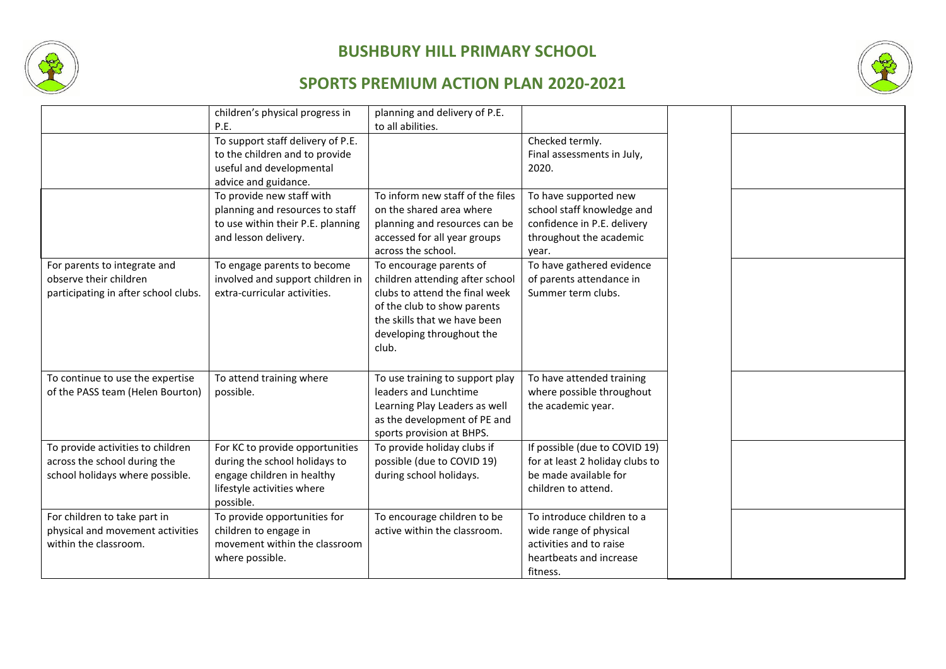



|                                      | children's physical progress in   | planning and delivery of P.E.    |                                 |  |
|--------------------------------------|-----------------------------------|----------------------------------|---------------------------------|--|
|                                      | P.E.                              | to all abilities.                |                                 |  |
|                                      | To support staff delivery of P.E. |                                  | Checked termly.                 |  |
|                                      | to the children and to provide    |                                  | Final assessments in July,      |  |
|                                      | useful and developmental          |                                  | 2020.                           |  |
|                                      | advice and guidance.              |                                  |                                 |  |
|                                      | To provide new staff with         | To inform new staff of the files | To have supported new           |  |
|                                      | planning and resources to staff   | on the shared area where         | school staff knowledge and      |  |
|                                      | to use within their P.E. planning | planning and resources can be    | confidence in P.E. delivery     |  |
|                                      | and lesson delivery.              | accessed for all year groups     | throughout the academic         |  |
|                                      |                                   | across the school.               | year.                           |  |
| For parents to integrate and         | To engage parents to become       | To encourage parents of          | To have gathered evidence       |  |
| observe their children               | involved and support children in  | children attending after school  | of parents attendance in        |  |
| participating in after school clubs. | extra-curricular activities.      | clubs to attend the final week   | Summer term clubs.              |  |
|                                      |                                   | of the club to show parents      |                                 |  |
|                                      |                                   | the skills that we have been     |                                 |  |
|                                      |                                   | developing throughout the        |                                 |  |
|                                      |                                   | club.                            |                                 |  |
|                                      |                                   |                                  |                                 |  |
|                                      |                                   |                                  |                                 |  |
| To continue to use the expertise     | To attend training where          | To use training to support play  | To have attended training       |  |
| of the PASS team (Helen Bourton)     | possible.                         | leaders and Lunchtime            | where possible throughout       |  |
|                                      |                                   | Learning Play Leaders as well    | the academic year.              |  |
|                                      |                                   | as the development of PE and     |                                 |  |
|                                      |                                   | sports provision at BHPS.        |                                 |  |
| To provide activities to children    | For KC to provide opportunities   | To provide holiday clubs if      | If possible (due to COVID 19)   |  |
| across the school during the         | during the school holidays to     | possible (due to COVID 19)       | for at least 2 holiday clubs to |  |
| school holidays where possible.      | engage children in healthy        | during school holidays.          | be made available for           |  |
|                                      | lifestyle activities where        |                                  | children to attend.             |  |
|                                      | possible.                         |                                  |                                 |  |
| For children to take part in         | To provide opportunities for      | To encourage children to be      | To introduce children to a      |  |
| physical and movement activities     | children to engage in             | active within the classroom.     | wide range of physical          |  |
| within the classroom.                | movement within the classroom     |                                  | activities and to raise         |  |
|                                      | where possible.                   |                                  | heartbeats and increase         |  |
|                                      |                                   |                                  | fitness.                        |  |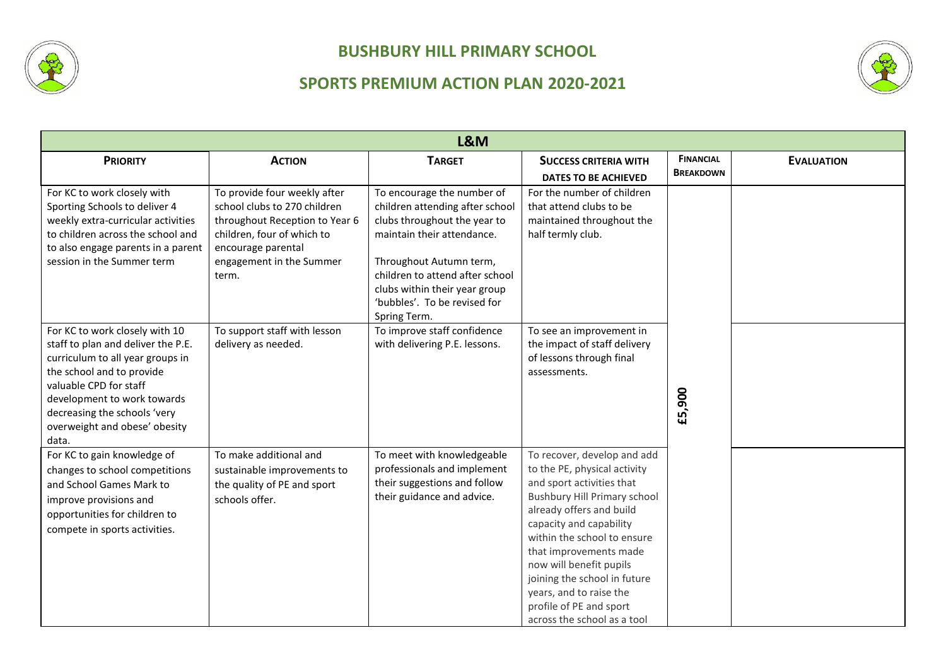



| L&M                                                                                                                                                                                                                                                                      |                                                                                                                                                                                         |                                                                                                                                                                                                                                                                            |                                                                                                                                                                                                                                                                                                                                                                                                 |                  |                   |
|--------------------------------------------------------------------------------------------------------------------------------------------------------------------------------------------------------------------------------------------------------------------------|-----------------------------------------------------------------------------------------------------------------------------------------------------------------------------------------|----------------------------------------------------------------------------------------------------------------------------------------------------------------------------------------------------------------------------------------------------------------------------|-------------------------------------------------------------------------------------------------------------------------------------------------------------------------------------------------------------------------------------------------------------------------------------------------------------------------------------------------------------------------------------------------|------------------|-------------------|
| <b>PRIORITY</b>                                                                                                                                                                                                                                                          | <b>ACTION</b>                                                                                                                                                                           | <b>TARGET</b>                                                                                                                                                                                                                                                              | <b>SUCCESS CRITERIA WITH</b>                                                                                                                                                                                                                                                                                                                                                                    | <b>FINANCIAL</b> | <b>EVALUATION</b> |
|                                                                                                                                                                                                                                                                          |                                                                                                                                                                                         |                                                                                                                                                                                                                                                                            | <b>DATES TO BE ACHIEVED</b>                                                                                                                                                                                                                                                                                                                                                                     | <b>BREAKDOWN</b> |                   |
| For KC to work closely with<br>Sporting Schools to deliver 4<br>weekly extra-curricular activities<br>to children across the school and<br>to also engage parents in a parent<br>session in the Summer term                                                              | To provide four weekly after<br>school clubs to 270 children<br>throughout Reception to Year 6<br>children, four of which to<br>encourage parental<br>engagement in the Summer<br>term. | To encourage the number of<br>children attending after school<br>clubs throughout the year to<br>maintain their attendance.<br>Throughout Autumn term,<br>children to attend after school<br>clubs within their year group<br>'bubbles'. To be revised for<br>Spring Term. | For the number of children<br>that attend clubs to be<br>maintained throughout the<br>half termly club.                                                                                                                                                                                                                                                                                         |                  |                   |
| For KC to work closely with 10<br>staff to plan and deliver the P.E.<br>curriculum to all year groups in<br>the school and to provide<br>valuable CPD for staff<br>development to work towards<br>decreasing the schools 'very<br>overweight and obese' obesity<br>data. | To support staff with lesson<br>delivery as needed.                                                                                                                                     | To improve staff confidence<br>with delivering P.E. lessons.                                                                                                                                                                                                               | To see an improvement in<br>the impact of staff delivery<br>of lessons through final<br>assessments.                                                                                                                                                                                                                                                                                            | £5,900           |                   |
| For KC to gain knowledge of<br>changes to school competitions<br>and School Games Mark to<br>improve provisions and<br>opportunities for children to<br>compete in sports activities.                                                                                    | To make additional and<br>sustainable improvements to<br>the quality of PE and sport<br>schools offer.                                                                                  | To meet with knowledgeable<br>professionals and implement<br>their suggestions and follow<br>their guidance and advice.                                                                                                                                                    | To recover, develop and add<br>to the PE, physical activity<br>and sport activities that<br><b>Bushbury Hill Primary school</b><br>already offers and build<br>capacity and capability<br>within the school to ensure<br>that improvements made<br>now will benefit pupils<br>joining the school in future<br>years, and to raise the<br>profile of PE and sport<br>across the school as a tool |                  |                   |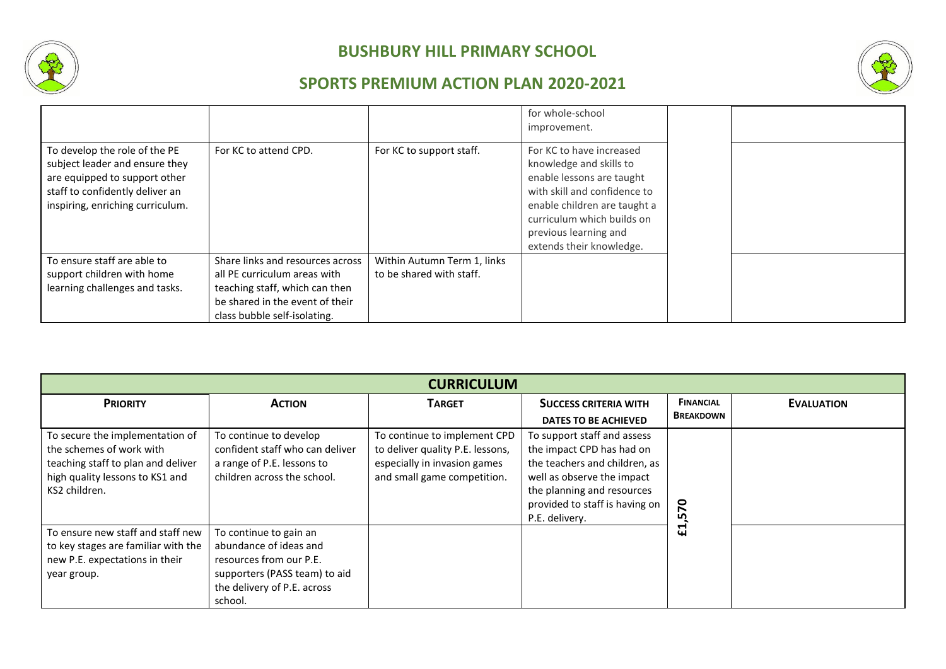



|                                                                                                                                                                         |                                                                                                                                                                       |                                                         | for whole-school<br>improvement.                                                                                                                                                                                                    |  |
|-------------------------------------------------------------------------------------------------------------------------------------------------------------------------|-----------------------------------------------------------------------------------------------------------------------------------------------------------------------|---------------------------------------------------------|-------------------------------------------------------------------------------------------------------------------------------------------------------------------------------------------------------------------------------------|--|
| To develop the role of the PE<br>subject leader and ensure they<br>are equipped to support other<br>staff to confidently deliver an<br>inspiring, enriching curriculum. | For KC to attend CPD.                                                                                                                                                 | For KC to support staff.                                | For KC to have increased<br>knowledge and skills to<br>enable lessons are taught<br>with skill and confidence to<br>enable children are taught a<br>curriculum which builds on<br>previous learning and<br>extends their knowledge. |  |
| To ensure staff are able to<br>support children with home<br>learning challenges and tasks.                                                                             | Share links and resources across<br>all PE curriculum areas with<br>teaching staff, which can then<br>be shared in the event of their<br>class bubble self-isolating. | Within Autumn Term 1, links<br>to be shared with staff. |                                                                                                                                                                                                                                     |  |

| <b>CURRICULUM</b>                                                                                                                                     |                                                                                                                                                        |                                                                                                                                 |                                                                                                                                                                                                           |                                      |                   |
|-------------------------------------------------------------------------------------------------------------------------------------------------------|--------------------------------------------------------------------------------------------------------------------------------------------------------|---------------------------------------------------------------------------------------------------------------------------------|-----------------------------------------------------------------------------------------------------------------------------------------------------------------------------------------------------------|--------------------------------------|-------------------|
| <b>PRIORITY</b>                                                                                                                                       | <b>ACTION</b>                                                                                                                                          | <b>TARGET</b>                                                                                                                   | <b>SUCCESS CRITERIA WITH</b><br><b>DATES TO BE ACHIEVED</b>                                                                                                                                               | <b>FINANCIAL</b><br><b>BREAKDOWN</b> | <b>EVALUATION</b> |
| To secure the implementation of<br>the schemes of work with<br>teaching staff to plan and deliver<br>high quality lessons to KS1 and<br>KS2 children. | To continue to develop<br>confident staff who can deliver<br>a range of P.E. lessons to<br>children across the school.                                 | To continue to implement CPD<br>to deliver quality P.E. lessons,<br>especially in invasion games<br>and small game competition. | To support staff and assess<br>the impact CPD has had on<br>the teachers and children, as<br>well as observe the impact<br>the planning and resources<br>provided to staff is having on<br>P.E. delivery. | <b>P</b><br>ഥ                        |                   |
| To ensure new staff and staff new<br>to key stages are familiar with the<br>new P.E. expectations in their<br>year group.                             | To continue to gain an<br>abundance of ideas and<br>resources from our P.E.<br>supporters (PASS team) to aid<br>the delivery of P.E. across<br>school. |                                                                                                                                 |                                                                                                                                                                                                           | −<br>$\mathbf{u}$                    |                   |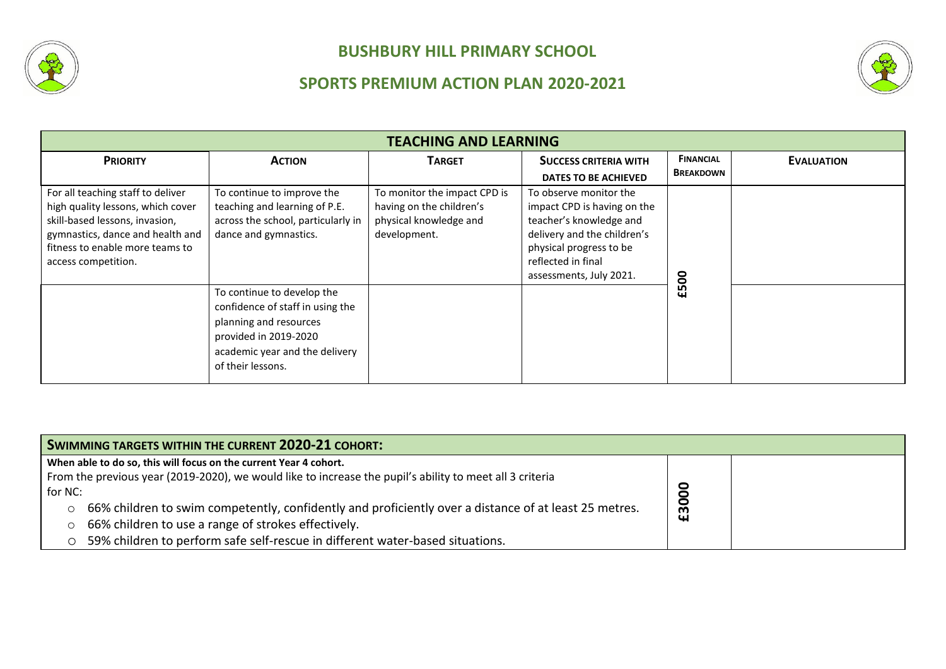



| <b>TEACHING AND LEARNING</b>                                                                                                                                                                           |                                                                                                                                                                          |                                                                                                    |                                                                                                                                                                                             |                                      |                   |
|--------------------------------------------------------------------------------------------------------------------------------------------------------------------------------------------------------|--------------------------------------------------------------------------------------------------------------------------------------------------------------------------|----------------------------------------------------------------------------------------------------|---------------------------------------------------------------------------------------------------------------------------------------------------------------------------------------------|--------------------------------------|-------------------|
| <b>PRIORITY</b>                                                                                                                                                                                        | <b>ACTION</b>                                                                                                                                                            | <b>TARGET</b>                                                                                      | <b>SUCCESS CRITERIA WITH</b><br>DATES TO BE ACHIEVED                                                                                                                                        | <b>FINANCIAL</b><br><b>BREAKDOWN</b> | <b>EVALUATION</b> |
| For all teaching staff to deliver<br>high quality lessons, which cover<br>skill-based lessons, invasion,<br>gymnastics, dance and health and<br>fitness to enable more teams to<br>access competition. | To continue to improve the<br>teaching and learning of P.E.<br>across the school, particularly in<br>dance and gymnastics.                                               | To monitor the impact CPD is<br>having on the children's<br>physical knowledge and<br>development. | To observe monitor the<br>impact CPD is having on the<br>teacher's knowledge and<br>delivery and the children's<br>physical progress to be<br>reflected in final<br>assessments, July 2021. |                                      |                   |
|                                                                                                                                                                                                        | To continue to develop the<br>confidence of staff in using the<br>planning and resources<br>provided in 2019-2020<br>academic year and the delivery<br>of their lessons. |                                                                                                    |                                                                                                                                                                                             | £500                                 |                   |

| <b>SWIMMING TARGETS WITHIN THE CURRENT 2020-21 COHORT:</b>                                                       |       |  |  |  |
|------------------------------------------------------------------------------------------------------------------|-------|--|--|--|
| When able to do so, this will focus on the current Year 4 cohort.                                                |       |  |  |  |
| From the previous year (2019-2020), we would like to increase the pupil's ability to meet all 3 criteria         |       |  |  |  |
| for NC:                                                                                                          |       |  |  |  |
| 66% children to swim competently, confidently and proficiently over a distance of at least 25 metres.<br>$\circ$ | £3000 |  |  |  |
| 66% children to use a range of strokes effectively.<br>$\circ$                                                   |       |  |  |  |
| 59% children to perform safe self-rescue in different water-based situations.<br>О                               |       |  |  |  |